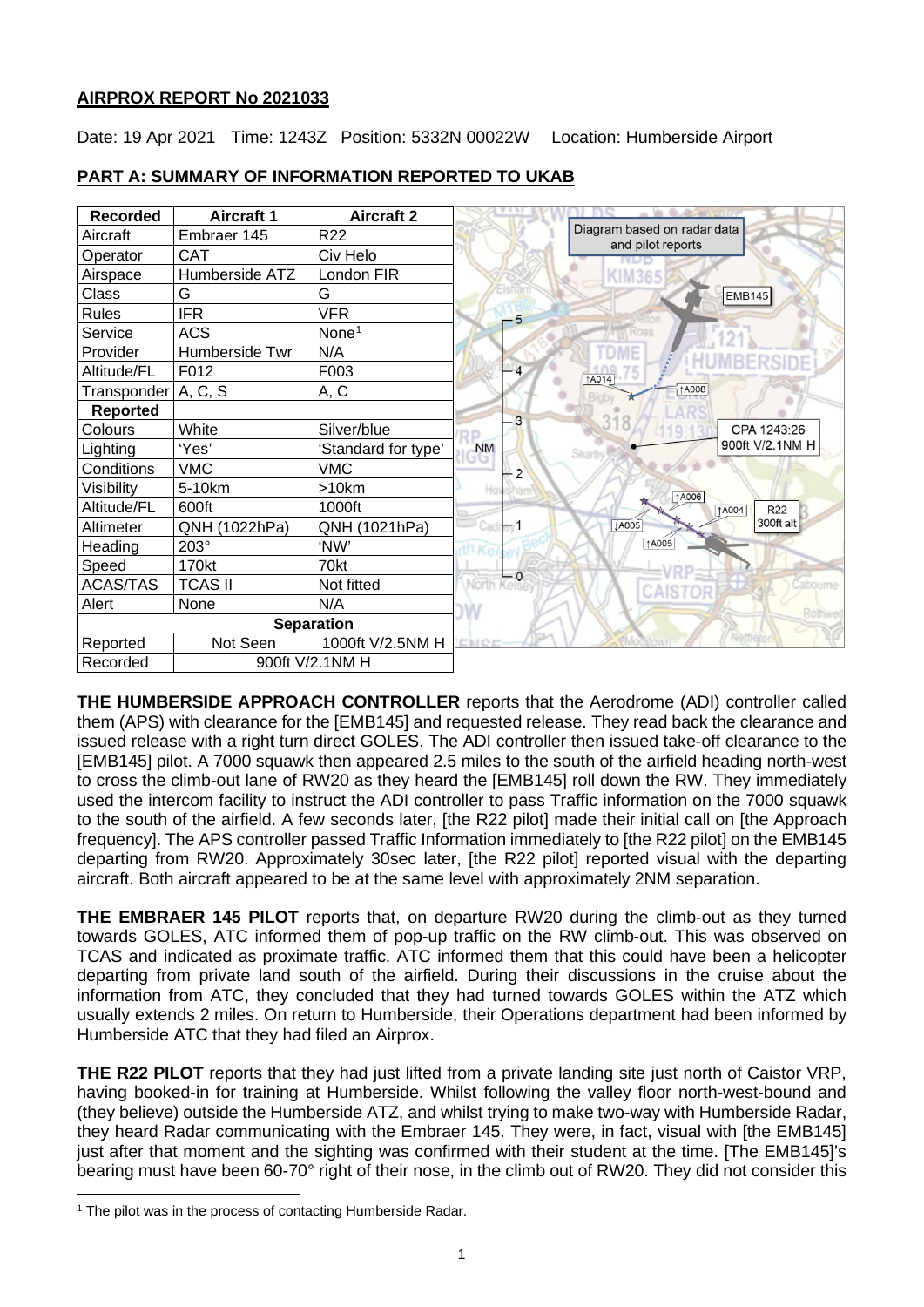# **AIRPROX REPORT No 2021033**

Date: 19 Apr 2021 Time: 1243Z Position: 5332N 00022W Location: Humberside Airport



# **PART A: SUMMARY OF INFORMATION REPORTED TO UKAB**

**THE HUMBERSIDE APPROACH CONTROLLER** reports that the Aerodrome (ADI) controller called them (APS) with clearance for the [EMB145] and requested release. They read back the clearance and issued release with a right turn direct GOLES. The ADI controller then issued take-off clearance to the [EMB145] pilot. A 7000 squawk then appeared 2.5 miles to the south of the airfield heading north-west to cross the climb-out lane of RW20 as they heard the [EMB145] roll down the RW. They immediately used the intercom facility to instruct the ADI controller to pass Traffic information on the 7000 squawk to the south of the airfield. A few seconds later, [the R22 pilot] made their initial call on [the Approach frequency]. The APS controller passed Traffic Information immediately to [the R22 pilot] on the EMB145 departing from RW20. Approximately 30sec later. [the R22 pilot] reported visual with the departing aircraft. Both aircraft appeared to be at the same level with approximately 2NM separation.

**THE EMBRAER 145 PILOT** reports that, on departure RW20 during the climb-out as they turned towards GOLES, ATC informed them of pop-up traffic on the RW climb-out. This was observed on TCAS and indicated as proximate traffic. ATC informed them that this could have been a helicopter departing from private land south of the airfield. During their discussions in the cruise about the information from ATC, they concluded that they had turned towards GOLES within the ATZ which usually extends 2 miles. On return to Humberside, their Operations department had been informed by Humberside ATC that they had filed an Airprox.

**THE R22 PILOT** reports that they had just lifted from a private landing site just north of Caistor VRP, having booked-in for training at Humberside. Whilst following the valley floor north-west-bound and (they believe) outside the Humberside ATZ, and whilst trying to make two-way with Humberside Radar, they heard Radar communicating with the Embraer 145. They were, in fact, visual with [the EMB145] just after that moment and the sighting was confirmed with their student at the time. [The EMB145]'s bearing must have been 60-70° right of their nose, in the climb out of RW20. They did not consider this

<span id="page-0-0"></span><sup>&</sup>lt;sup>1</sup> The pilot was in the process of contacting Humberside Radar.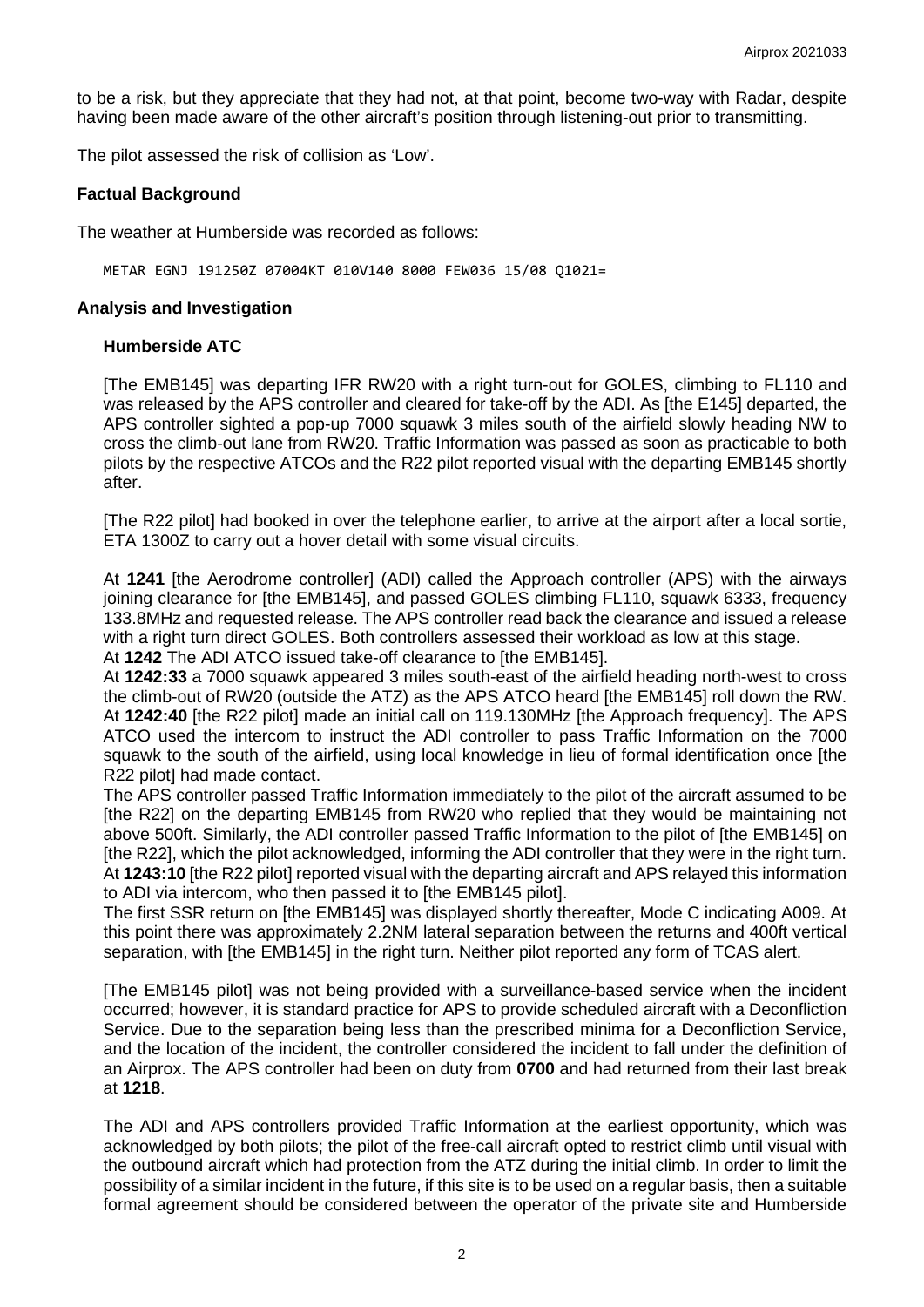to be a risk, but they appreciate that they had not, at that point, become two-way with Radar, despite having been made aware of the other aircraft's position through listening-out prior to transmitting.

The pilot assessed the risk of collision as 'Low'.

#### **Factual Background**

The weather at Humberside was recorded as follows:

METAR EGNJ 191250Z 07004KT 010V140 8000 FEW036 15/08 Q1021=

#### **Analysis and Investigation**

#### **Humberside ATC**

[The EMB145] was departing IFR RW20 with a right turn-out for GOLES, climbing to FL110 and was released by the APS controller and cleared for take-off by the ADI. As [the E145] departed, the APS controller sighted a pop-up 7000 squawk 3 miles south of the airfield slowly heading NW to cross the climb-out lane from RW20. Traffic Information was passed as soon as practicable to both pilots by the respective ATCOs and the R22 pilot reported visual with the departing EMB145 shortly after.

[The R22 pilot] had booked in over the telephone earlier, to arrive at the airport after a local sortie, ETA 1300Z to carry out a hover detail with some visual circuits.

At **1241** [the Aerodrome controller] (ADI) called the Approach controller (APS) with the airways joining clearance for [the EMB145], and passed GOLES climbing FL110, squawk 6333, frequency 133.8MHz and requested release. The APS controller read back the clearance and issued a release with a right turn direct GOLES. Both controllers assessed their workload as low at this stage. At **1242** The ADI ATCO issued take-off clearance to [the EMB145].

At **1242:33** a 7000 squawk appeared 3 miles south-east of the airfield heading north-west to cross the climb-out of RW20 (outside the ATZ) as the APS ATCO heard [the EMB145] roll down the RW. At **1242:40** [the R22 pilot] made an initial call on 119.130MHz [the Approach frequency]. The APS ATCO used the intercom to instruct the ADI controller to pass Traffic Information on the 7000 squawk to the south of the airfield, using local knowledge in lieu of formal identification once [the R22 pilot] had made contact.

The APS controller passed Traffic Information immediately to the pilot of the aircraft assumed to be [the R22] on the departing EMB145 from RW20 who replied that they would be maintaining not above 500ft. Similarly, the ADI controller passed Traffic Information to the pilot of [the EMB145] on [the R22], which the pilot acknowledged, informing the ADI controller that they were in the right turn. At **1243:10** [the R22 pilot] reported visual with the departing aircraft and APS relayed this information to ADI via intercom, who then passed it to [the EMB145 pilot].

The first SSR return on [the EMB145] was displayed shortly thereafter, Mode C indicating A009. At this point there was approximately 2.2NM lateral separation between the returns and 400ft vertical separation, with [the EMB145] in the right turn. Neither pilot reported any form of TCAS alert.

[The EMB145 pilot] was not being provided with a surveillance-based service when the incident occurred; however, it is standard practice for APS to provide scheduled aircraft with a Deconfliction Service. Due to the separation being less than the prescribed minima for a Deconfliction Service, and the location of the incident, the controller considered the incident to fall under the definition of an Airprox. The APS controller had been on duty from **0700** and had returned from their last break at **1218**.

The ADI and APS controllers provided Traffic Information at the earliest opportunity, which was acknowledged by both pilots; the pilot of the free-call aircraft opted to restrict climb until visual with the outbound aircraft which had protection from the ATZ during the initial climb. In order to limit the possibility of a similar incident in the future, if this site is to be used on a regular basis, then a suitable formal agreement should be considered between the operator of the private site and Humberside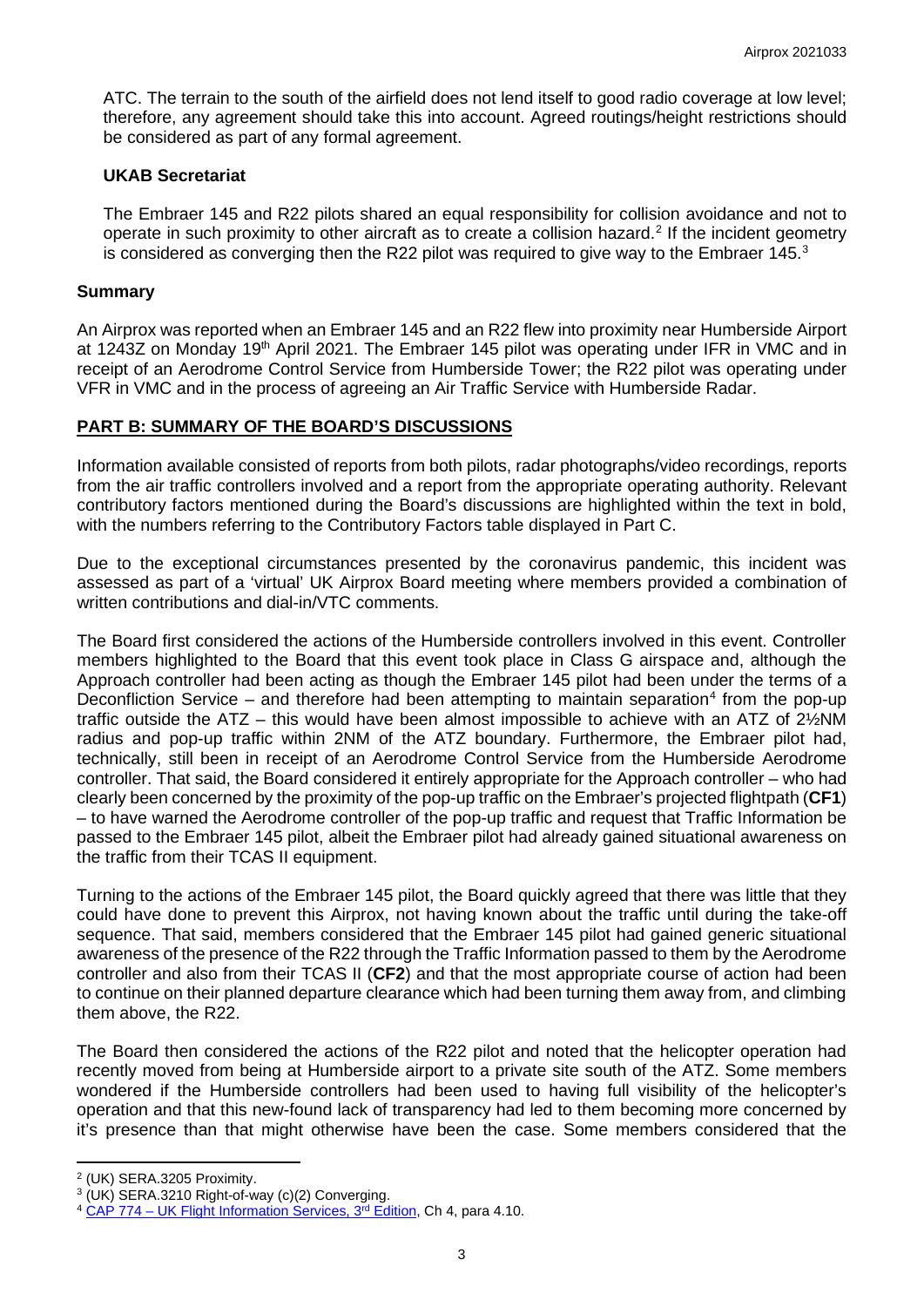ATC. The terrain to the south of the airfield does not lend itself to good radio coverage at low level; therefore, any agreement should take this into account. Agreed routings/height restrictions should be considered as part of any formal agreement.

#### **UKAB Secretariat**

The Embraer 145 and R22 pilots shared an equal responsibility for collision avoidance and not to operate in such proximity to other aircraft as to create a collision hazard.<sup>[2](#page-2-0)</sup> If the incident geometry is considered as converging then the R22 pilot was required to give way to the Embraer 145.<sup>[3](#page-2-1)</sup>

#### **Summary**

An Airprox was reported when an Embraer 145 and an R22 flew into proximity near Humberside Airport at 1243Z on Monday 19<sup>th</sup> April 2021. The Embraer 145 pilot was operating under IFR in VMC and in receipt of an Aerodrome Control Service from Humberside Tower; the R22 pilot was operating under VFR in VMC and in the process of agreeing an Air Traffic Service with Humberside Radar.

#### **PART B: SUMMARY OF THE BOARD'S DISCUSSIONS**

Information available consisted of reports from both pilots, radar photographs/video recordings, reports from the air traffic controllers involved and a report from the appropriate operating authority. Relevant contributory factors mentioned during the Board's discussions are highlighted within the text in bold, with the numbers referring to the Contributory Factors table displayed in Part C.

Due to the exceptional circumstances presented by the coronavirus pandemic, this incident was assessed as part of a 'virtual' UK Airprox Board meeting where members provided a combination of written contributions and dial-in/VTC comments.

The Board first considered the actions of the Humberside controllers involved in this event. Controller members highlighted to the Board that this event took place in Class G airspace and, although the Approach controller had been acting as though the Embraer 145 pilot had been under the terms of a Deconfliction Service – and therefore had been attempting to maintain separation<sup>[4](#page-2-2)</sup> from the pop-up traffic outside the ATZ – this would have been almost impossible to achieve with an ATZ of 2½NM radius and pop-up traffic within 2NM of the ATZ boundary. Furthermore, the Embraer pilot had, technically, still been in receipt of an Aerodrome Control Service from the Humberside Aerodrome controller. That said, the Board considered it entirely appropriate for the Approach controller – who had clearly been concerned by the proximity of the pop-up traffic on the Embraer's projected flightpath (**CF1**) – to have warned the Aerodrome controller of the pop-up traffic and request that Traffic Information be passed to the Embraer 145 pilot, albeit the Embraer pilot had already gained situational awareness on the traffic from their TCAS II equipment.

Turning to the actions of the Embraer 145 pilot, the Board quickly agreed that there was little that they could have done to prevent this Airprox, not having known about the traffic until during the take-off sequence. That said, members considered that the Embraer 145 pilot had gained generic situational awareness of the presence of the R22 through the Traffic Information passed to them by the Aerodrome controller and also from their TCAS II (**CF2**) and that the most appropriate course of action had been to continue on their planned departure clearance which had been turning them away from, and climbing them above, the R22.

The Board then considered the actions of the R22 pilot and noted that the helicopter operation had recently moved from being at Humberside airport to a private site south of the ATZ. Some members wondered if the Humberside controllers had been used to having full visibility of the helicopter's operation and that this new-found lack of transparency had led to them becoming more concerned by it's presence than that might otherwise have been the case. Some members considered that the

<span id="page-2-0"></span><sup>2</sup> (UK) SERA.3205 Proximity.

<span id="page-2-1"></span><sup>3</sup> (UK) SERA.3210 Right-of-way (c)(2) Converging.

<span id="page-2-2"></span><sup>&</sup>lt;sup>4</sup> CAP 774 – UK Flight Information Services, 3<sup>rd</sup> Edition, Ch 4, para 4.10.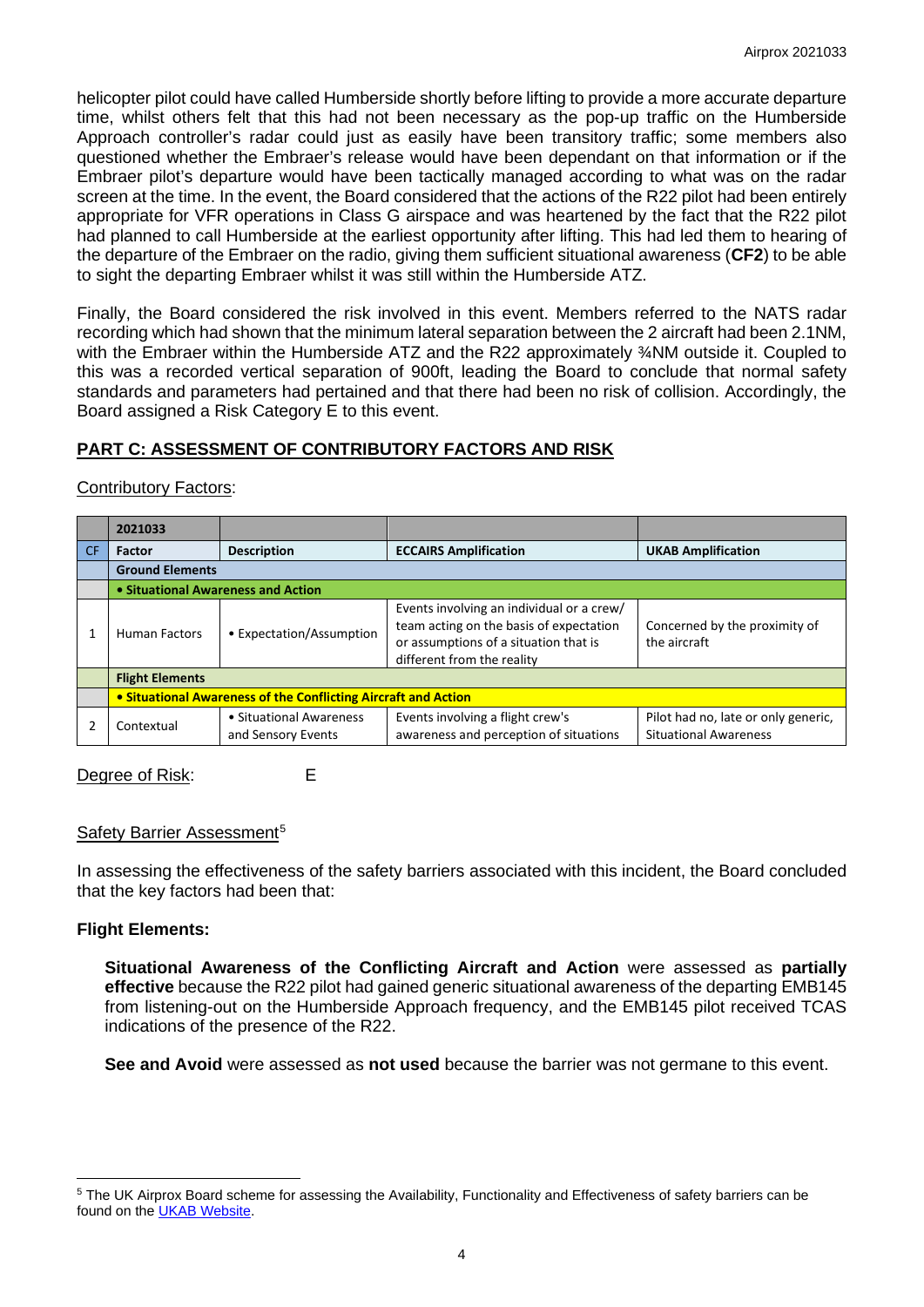helicopter pilot could have called Humberside shortly before lifting to provide a more accurate departure time, whilst others felt that this had not been necessary as the pop-up traffic on the Humberside Approach controller's radar could just as easily have been transitory traffic; some members also questioned whether the Embraer's release would have been dependant on that information or if the Embraer pilot's departure would have been tactically managed according to what was on the radar screen at the time. In the event, the Board considered that the actions of the R22 pilot had been entirely appropriate for VFR operations in Class G airspace and was heartened by the fact that the R22 pilot had planned to call Humberside at the earliest opportunity after lifting. This had led them to hearing of the departure of the Embraer on the radio, giving them sufficient situational awareness (**CF2**) to be able to sight the departing Embraer whilst it was still within the Humberside ATZ.

Finally, the Board considered the risk involved in this event. Members referred to the NATS radar recording which had shown that the minimum lateral separation between the 2 aircraft had been 2.1NM, with the Embraer within the Humberside ATZ and the R22 approximately <sup>3</sup>/NM outside it. Coupled to this was a recorded vertical separation of 900ft, leading the Board to conclude that normal safety standards and parameters had pertained and that there had been no risk of collision. Accordingly, the Board assigned a Risk Category E to this event.

# **PART C: ASSESSMENT OF CONTRIBUTORY FACTORS AND RISK**

## Contributory Factors:

|     | 2021033                                                        |                                               |                                                                                                                                                             |                                                                     |
|-----|----------------------------------------------------------------|-----------------------------------------------|-------------------------------------------------------------------------------------------------------------------------------------------------------------|---------------------------------------------------------------------|
| CF. | <b>Factor</b>                                                  | <b>Description</b>                            | <b>ECCAIRS Amplification</b>                                                                                                                                | <b>UKAB Amplification</b>                                           |
|     | <b>Ground Elements</b>                                         |                                               |                                                                                                                                                             |                                                                     |
|     | • Situational Awareness and Action                             |                                               |                                                                                                                                                             |                                                                     |
|     | <b>Human Factors</b>                                           | • Expectation/Assumption                      | Events involving an individual or a crew/<br>team acting on the basis of expectation<br>or assumptions of a situation that is<br>different from the reality | Concerned by the proximity of<br>the aircraft                       |
|     | <b>Flight Elements</b>                                         |                                               |                                                                                                                                                             |                                                                     |
|     | • Situational Awareness of the Conflicting Aircraft and Action |                                               |                                                                                                                                                             |                                                                     |
|     | Contextual                                                     | • Situational Awareness<br>and Sensory Events | Events involving a flight crew's<br>awareness and perception of situations                                                                                  | Pilot had no, late or only generic,<br><b>Situational Awareness</b> |

## Degree of Risk: E

#### Safety Barrier Assessment<sup>[5](#page-3-0)</sup>

In assessing the effectiveness of the safety barriers associated with this incident, the Board concluded that the key factors had been that:

## **Flight Elements:**

**Situational Awareness of the Conflicting Aircraft and Action** were assessed as **partially effective** because the R22 pilot had gained generic situational awareness of the departing EMB145 from listening-out on the Humberside Approach frequency, and the EMB145 pilot received TCAS indications of the presence of the R22.

**See and Avoid** were assessed as **not used** because the barrier was not germane to this event.

<span id="page-3-0"></span><sup>&</sup>lt;sup>5</sup> The UK Airprox Board scheme for assessing the Availability, Functionality and Effectiveness of safety barriers can be found on the [UKAB Website.](http://www.airproxboard.org.uk/Learn-more/Airprox-Barrier-Assessment/)